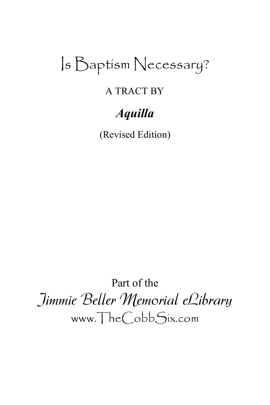# Is Baptism Necessary?

# A TRACT BY

# *Aquilla*

(Revised Edition)

Part of the Jimmie Beller Memorial eLibrary www.TheCobbSix.com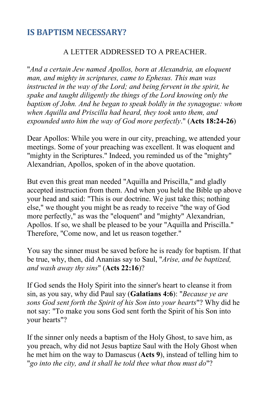#### **IS BAPTISM NECESSARY?**

#### A LETTER ADDRESSED TO A PREACHER.

"*And a certain Jew named Apollos, born at Alexandria, an eloquent man, and mighty in scriptures, came to Ephesus. This man was instructed in the way of the Lord; and being fervent in the spirit, he spake and taught diligently the things of the Lord knowing only the baptism of John. And he began to speak boldly in the synagogue: whom when Aquilla and Priscilla had heard, they took unto them, and expounded unto him the way of God more perfectly*." (**Acts 18:24-26**)

Dear Apollos: While you were in our city, preaching, we attended your meetings. Some of your preaching was excellent. It was eloquent and "mighty in the Scriptures." Indeed, you reminded us of the "mighty" Alexandrian, Apollos, spoken of in the above quotation.

But even this great man needed "Aquilla and Priscilla," and gladly accepted instruction from them. And when you held the Bible up above your head and said: "This is our doctrine. We just take this; nothing else," we thought you might be as ready to receive "the way of God more perfectly," as was the "eloquent" and "mighty" Alexandrian, Apollos. If so, we shall be pleased to be your "Aquilla and Priscilla." Therefore, "Come now, and let us reason together."

You say the sinner must be saved before he is ready for baptism. If that be true, why, then, did Ananias say to Saul, "*Arise, and be baptized, and wash away thy sins*" (**Acts 22:16**)?

If God sends the Holy Spirit into the sinner's heart to cleanse it from sin, as you say, why did Paul say (**Galatians 4:6**): "*Because ye are sons God sent forth the Spirit of his Son into your hearts*"? Why did he not say: "To make you sons God sent forth the Spirit of his Son into your hearts"?

If the sinner only needs a baptism of the Holy Ghost, to save him, as you preach, why did not Jesus baptize Saul with the Holy Ghost when he met him on the way to Damascus (**Acts 9**), instead of telling him to "*go into the city, and it shall he told thee what thou must do*"?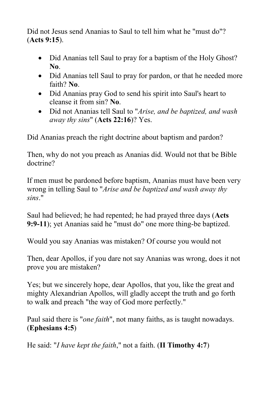Did not Jesus send Ananias to Saul to tell him what he "must do"? (**Acts 9:15**).

- Did Ananias tell Saul to pray for a baptism of the Holy Ghost? **No**.
- Did Ananias tell Saul to pray for pardon, or that he needed more faith? **No**.
- Did Ananias pray God to send his spirit into Saul's heart to cleanse it from sin? **No**.
- Did not Ananias tell Saul to "*Arise, and be baptized, and wash away thy sins*" (**Acts 22:16**)? Yes.

Did Ananias preach the right doctrine about baptism and pardon?

Then, why do not you preach as Ananias did. Would not that be Bible doctrine?

If men must be pardoned before baptism, Ananias must have been very wrong in telling Saul to "*Arise and be baptized and wash away thy sins*."

Saul had believed; he had repented; he had prayed three days (**Acts 9:9-11**); yet Ananias said he "must do" one more thing-be baptized.

Would you say Ananias was mistaken? Of course you would not

Then, dear Apollos, if you dare not say Ananias was wrong, does it not prove you are mistaken?

Yes; but we sincerely hope, dear Apollos, that you, like the great and mighty Alexandrian Apollos, will gladly accept the truth and go forth to walk and preach "the way of God more perfectly."

Paul said there is "*one faith*", not many faiths, as is taught nowadays. (**Ephesians 4:5**)

He said: "*I have kept the faith*," not a faith. (**II Timothy 4:7**)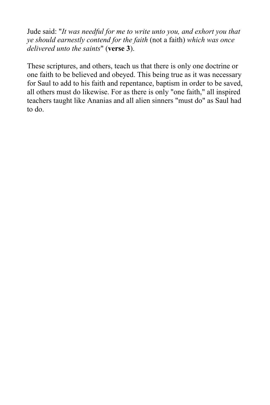Jude said: "*It was needful for me to write unto you, and exhort you that ye should earnestly contend for the faith* (not a faith) *which was once delivered unto the saints*" (**verse 3**).

These scriptures, and others, teach us that there is only one doctrine or one faith to be believed and obeyed. This being true as it was necessary for Saul to add to his faith and repentance, baptism in order to be saved, all others must do likewise. For as there is only "one faith," all inspired teachers taught like Ananias and all alien sinners "must do" as Saul had to do.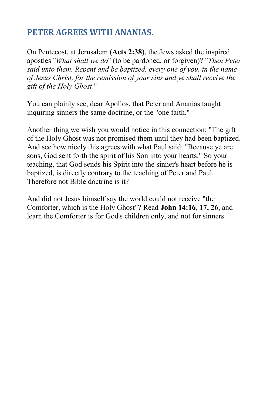#### **PETER AGREES WITH ANANIAS.**

On Pentecost, at Jerusalem (**Acts 2:38**), the Jews asked the inspired apostles "*What shall we do*" (to be pardoned, or forgiven)? "*Then Peter said unto them, Repent and be baptized, every one of you, in the name of Jesus Christ, for the remission of your sins and ye shall receive the gift of the Holy Ghost*."

You can plainly see, dear Apollos, that Peter and Ananias taught inquiring sinners the same doctrine, or the "one faith."

Another thing we wish you would notice in this connection: "The gift of the Holy Ghost was not promised them until they had been baptized. And see how nicely this agrees with what Paul said: "Because ye are sons, God sent forth the spirit of his Son into your hearts." So your teaching, that God sends his Spirit into the sinner's heart before he is baptized, is directly contrary to the teaching of Peter and Paul. Therefore not Bible doctrine is it?

And did not Jesus himself say the world could not receive "the Comforter, which is the Holy Ghost"? Read **John 14:16, 17, 26**, and learn the Comforter is for God's children only, and not for sinners.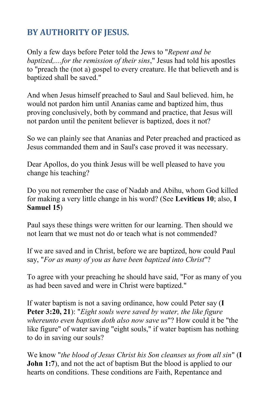## **BY AUTHORITY OF JESUS.**

Only a few days before Peter told the Jews to "*Repent and be baptized,....for the remission of their sins*," Jesus had told his apostles to "preach the (not a) gospel to every creature. He that believeth and is baptized shall be saved."

And when Jesus himself preached to Saul and Saul believed. him, he would not pardon him until Ananias came and baptized him, thus proving conclusively, both by command and practice, that Jesus will not pardon until the penitent believer is baptized, does it not?

So we can plainly see that Ananias and Peter preached and practiced as Jesus commanded them and in Saul's case proved it was necessary.

Dear Apollos, do you think Jesus will be well pleased to have you change his teaching?

Do you not remember the case of Nadab and Abihu, whom God killed for making a very little change in his word? (See **Leviticus 10**; also, **I Samuel 15**)

Paul says these things were written for our learning. Then should we not learn that we must not do or teach what is not commended?

If we are saved and in Christ, before we are baptized, how could Paul say, "*For as many of you as have been baptized into Christ*"?

To agree with your preaching he should have said, "For as many of you as had been saved and were in Christ were baptized."

If water baptism is not a saving ordinance, how could Peter say (**I Peter 3:20, 21**): "*Eight souls were saved by water, the like figure whereunto even baptism doth also now save us*"? How could it be "the like figure" of water saving "eight souls," if water baptism has nothing to do in saving our souls?

We know "*the blood of Jesus Christ his Son cleanses us from all sin*" (**I John 1:7**), and not the act of baptism But the blood is applied to our hearts on conditions. These conditions are Faith, Repentance and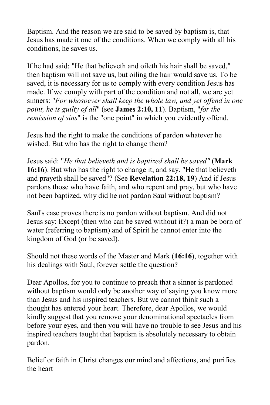Baptism. And the reason we are said to be saved by baptism is, that Jesus has made it one of the conditions. When we comply with all his conditions, he saves us.

If he had said: "He that believeth and oileth his hair shall be saved," then baptism will not save us, but oiling the hair would save us. To be saved, it is necessary for us to comply with every condition Jesus has made. If we comply with part of the condition and not all, we are yet sinners: "*For whosoever shall keep the whole law, and yet offend in one point, he is guilty of all*" (see **James 2:10, 11**). Baptism, "*for the remission of sins*" is the "one point" in which you evidently offend.

Jesus had the right to make the conditions of pardon whatever he wished. But who has the right to change them?

Jesus said: "*He that believeth and is baptized shall be saved"* (**Mark 16:16**). But who has the right to change it, and say. "He that believeth and prayeth shall be saved"? (See **Revelation 22:18, 19**) And if Jesus pardons those who have faith, and who repent and pray, but who have not been baptized, why did he not pardon Saul without baptism?

Saul's case proves there is no pardon without baptism. And did not Jesus say: Except (then who can be saved without it?) a man be born of water (referring to baptism) and of Spirit he cannot enter into the kingdom of God (or be saved).

Should not these words of the Master and Mark (**16:16**), together with his dealings with Saul, forever settle the question?

Dear Apollos, for you to continue to preach that a sinner is pardoned without baptism would only be another way of saying you know more than Jesus and his inspired teachers. But we cannot think such a thought has entered your heart. Therefore, dear Apollos, we would kindly suggest that you remove your denominational spectacles from before your eyes, and then you will have no trouble to see Jesus and his inspired teachers taught that baptism is absolutely necessary to obtain pardon.

Belief or faith in Christ changes our mind and affections, and purifies the heart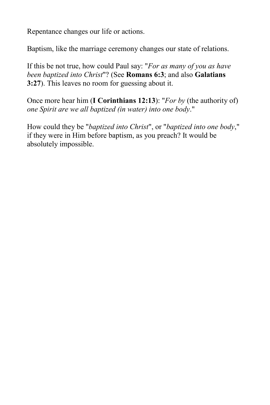Repentance changes our life or actions.

Baptism, like the marriage ceremony changes our state of relations.

If this be not true, how could Paul say: "*For as many of you as have been baptized into Christ*"? (See **Romans 6:3**; and also **Galatians 3:27**). This leaves no room for guessing about it.

Once more hear him (**I Corinthians 12:13**): "*For by* (the authority of) *one Spirit are we all baptized (in water) into one body*."

How could they be "*baptized into Christ*", or "*baptized into one body*," if they were in Him before baptism, as you preach? It would be absolutely impossible.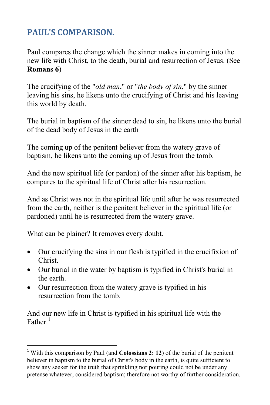## **PAUL'S COMPARISON.**

Paul compares the change which the sinner makes in coming into the new life with Christ, to the death, burial and resurrection of Jesus. (See **Romans 6**)

The crucifying of the "*old man*," or "*the body of sin*," by the sinner leaving his sins, he likens unto the crucifying of Christ and his leaving this world by death.

The burial in baptism of the sinner dead to sin, he likens unto the burial of the dead body of Jesus in the earth

The coming up of the penitent believer from the watery grave of baptism, he likens unto the coming up of Jesus from the tomb.

And the new spiritual life (or pardon) of the sinner after his baptism, he compares to the spiritual life of Christ after his resurrection.

And as Christ was not in the spiritual life until after he was resurrected from the earth, neither is the penitent believer in the spiritual life (or pardoned) until he is resurrected from the watery grave.

What can be plainer? It removes every doubt.

 $\overline{\phantom{a}}$ 

- Our crucifying the sins in our flesh is typified in the crucifixion of Christ.
- Our burial in the water by baptism is typified in Christ's burial in the earth.
- Our resurrection from the watery grave is typified in his resurrection from the tomb.

And our new life in Christ is typified in his spiritual life with the Father. $^1$ 

<sup>1</sup> With this comparison by Paul (and **Colossians 2: 12**) of the burial of the penitent believer in baptism to the burial of Christ's body in the earth, is quite sufficient to show any seeker for the truth that sprinkling nor pouring could not be under any pretense whatever, considered baptism; therefore not worthy of further consideration.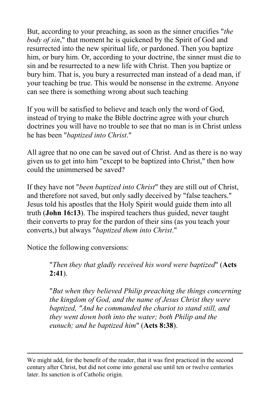But, according to your preaching, as soon as the sinner crucifies "*the body of sin*," that moment he is quickened by the Spirit of God and resurrected into the new spiritual life, or pardoned. Then you baptize him, or bury him. Or, according to your doctrine, the sinner must die to sin and be resurrected to a new life with Christ. Then you baptize or bury him. That is, you bury a resurrected man instead of a dead man, if your teaching be true. This would be nonsense in the extreme. Anyone can see there is something wrong about such teaching

If you will be satisfied to believe and teach only the word of God, instead of trying to make the Bible doctrine agree with your church doctrines you will have no trouble to see that no man is in Christ unless he has been "*baptized into Christ*."

All agree that no one can be saved out of Christ. And as there is no way given us to get into him "except to be baptized into Christ," then how could the unimmersed be saved?

If they have not "*been baptized into Christ*" they are still out of Christ, and therefore not saved, but only sadly deceived by "false teachers." Jesus told his apostles that the Holy Spirit would guide them into all truth (**John 16:13**). The inspired teachers thus guided, never taught their converts to pray for the pardon of their sins (as you teach your converts,) but always "*baptized them into Christ*."

Notice the following conversions:

 $\overline{a}$ 

"*Then they that gladly received his word were baptized*" (**Acts 2:41**).

"*But when they believed Philip preaching the things concerning the kingdom of God, and the name of Jesus Christ they were baptized, "And he commanded the chariot to stand still, and they went down both into the water; both Philip and the eunuch; and he baptized him*" (**Acts 8:38**).

We might add, for the benefit of the reader, that it was first practiced in the second century after Christ, but did not come into general use until ten or twelve centuries later. Its sanction is of Catholic origin.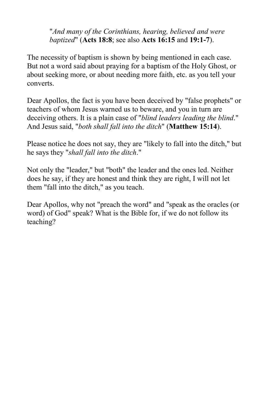"*And many of the Corinthians, hearing, believed and were baptized*" (**Acts 18:8**; see also **Acts 16:15** and **19:1-7**).

The necessity of baptism is shown by being mentioned in each case. But not a word said about praying for a baptism of the Holy Ghost, or about seeking more, or about needing more faith, etc. as you tell your converts.

Dear Apollos, the fact is you have been deceived by "false prophets" or teachers of whom Jesus warned us to beware, and you in turn are deceiving others. It is a plain case of "*blind leaders leading the blind*." And Jesus said, "*both shall fall into the ditch*" (**Matthew 15:14**).

Please notice he does not say, they are "likely to fall into the ditch," but he says they "*shall fall into the ditch*."

Not only the "leader," but "both" the leader and the ones led. Neither does he say, if they are honest and think they are right, I will not let them "fall into the ditch," as you teach.

Dear Apollos, why not "preach the word" and "speak as the oracles (or word) of God" speak? What is the Bible for, if we do not follow its teaching?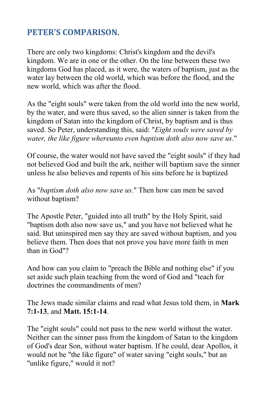#### **PETER'S COMPARISON.**

There are only two kingdoms: Christ's kingdom and the devil's kingdom. We are in one or the other. On the line between these two kingdoms God has placed, as it were, the waters of baptism, just as the water lay between the old world, which was before the flood, and the new world, which was after the flood.

As the "eight souls" were taken from the old world into the new world, by the water, and were thus saved, so the alien sinner is taken from the kingdom of Satan into the kingdom of Christ, by baptism and is thus saved. So Peter, understanding this, said: "*Eight souls were saved by water, the like figure whereunto even baptism doth also now save us*."

Of course, the water would not have saved the "eight souls" if they had not believed God and built the ark, neither will baptism save the sinner unless he also believes and repents of his sins before he is baptized

As "*baptism doth also now save us*." Then how can men be saved without baptism?

The Apostle Peter, "guided into all truth" by the Holy Spirit, said "baptism doth also now save us," and you have not believed what he said. But uninspired men say they are saved without baptism, and you believe them. Then does that not prove you have more faith in men than in God"?

And how can you claim to "preach the Bible and nothing else" if you set aside such plain teaching from the word of God and "teach for doctrines the commandments of men?

The Jews made similar claims and read what Jesus told them, in **Mark 7:1-13**, and **Matt. 15:1-14**.

The "eight souls" could not pass to the new world without the water. Neither can the sinner pass from the kingdom of Satan to the kingdom of God's dear Son, without water baptism. If he could, dear Apollos, it would not be "the like figure" of water saving "eight souls," but an "unlike figure," would it not?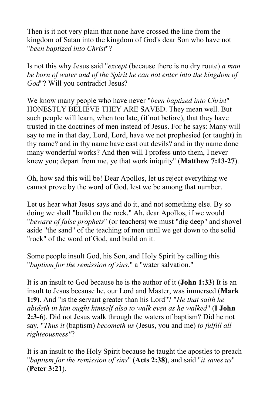Then is it not very plain that none have crossed the line from the kingdom of Satan into the kingdom of God's dear Son who have not "*been baptized into Christ*"?

Is not this why Jesus said "*except* (because there is no dry route) *a man be born of water and of the Spirit he can not enter into the kingdom of God*"? Will you contradict Jesus?

We know many people who have never "*been baptized into Christ*" HONESTLY BELIEVE THEY ARE SAVED. They mean well. But such people will learn, when too late, (if not before), that they have trusted in the doctrines of men instead of Jesus. For he says: Many will say to me in that day, Lord, Lord, have we not prophesied (or taught) in thy name? and in thy name have cast out devils? and in thy name done many wonderful works? And then will I profess unto them, I never knew you; depart from me, ye that work iniquity" (**Matthew 7:13-27**).

Oh, how sad this will be! Dear Apollos, let us reject everything we cannot prove by the word of God, lest we be among that number.

Let us hear what Jesus says and do it, and not something else. By so doing we shall "build on the rock." Ah, dear Apollos, if we would "*beware of false prophets*" (or teachers) we must "dig deep" and shovel aside "the sand" of the teaching of men until we get down to the solid "rock" of the word of God, and build on it.

Some people insult God, his Son, and Holy Spirit by calling this "*baptism for the remission of sins*," a "water salvation."

It is an insult to God because he is the author of it (**John 1:33**) It is an insult to Jesus because he, our Lord and Master, was immersed (**Mark 1:9)**. And "is the servant greater than his Lord"? "*He that saith he abideth in him ought himself also to walk even as he walked*" (**I John 2:3-6**). Did not Jesus walk through the waters of baptism? Did he not say, "*Thus it* (baptism) *becometh us* (Jesus, you and me) *to fulfill all righteousness"*?

It is an insult to the Holy Spirit because he taught the apostles to preach "*baptism for the remission of sins*" (**Acts 2:38**), and said "*it saves us*" (**Peter 3:21**).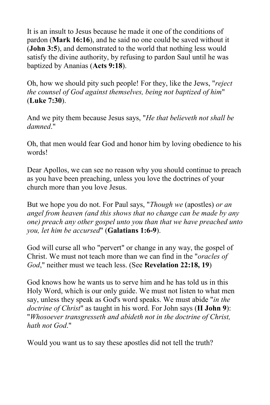It is an insult to Jesus because he made it one of the conditions of pardon (**Mark 16:16**), and he said no one could be saved without it (**John 3:5**), and demonstrated to the world that nothing less would satisfy the divine authority, by refusing to pardon Saul until he was baptized by Ananias (**Acts 9:18**).

Oh, how we should pity such people! For they, like the Jews, "*reject the counsel of God against themselves, being not baptized of him*" (**Luke 7:30**).

And we pity them because Jesus says, "*He that believeth not shall be damned*."

Oh, that men would fear God and honor him by loving obedience to his words!

Dear Apollos, we can see no reason why you should continue to preach as you have been preaching, unless you love the doctrines of your church more than you love Jesus.

But we hope you do not. For Paul says, "*Though we* (apostles) *or an angel from heaven (and this shows that no change can be made by any one) preach any other gospel unto you than that we have preached unto you, let him be accursed*" (**Galatians 1:6-9**).

God will curse all who "pervert" or change in any way, the gospel of Christ. We must not teach more than we can find in the "*oracles of God*," neither must we teach less. (See **Revelation 22:18, 19**)

God knows how he wants us to serve him and he has told us in this Holy Word, which is our only guide. We must not listen to what men say, unless they speak as God's word speaks. We must abide "*in the doctrine of Christ*" as taught in his word. For John says (**II John 9**): "*Whosoever transgresseth and abideth not in the doctrine of Christ, hath not God*."

Would you want us to say these apostles did not tell the truth?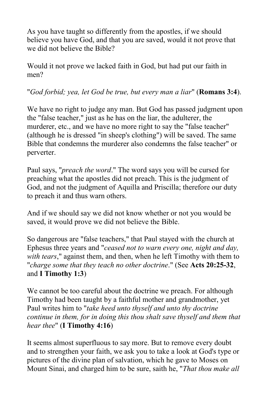As you have taught so differently from the apostles, if we should believe you have God, and that you are saved, would it not prove that we did not believe the Bible?

Would it not prove we lacked faith in God, but had put our faith in men?

#### "*God forbid; yea, let God be true, but every man a liar*" (**Romans 3:4**).

We have no right to judge any man. But God has passed judgment upon the "false teacher," just as he has on the liar, the adulterer, the murderer, etc., and we have no more right to say the "false teacher" (although he is dressed "in sheep's clothing") will be saved. The same Bible that condemns the murderer also condemns the false teacher" or perverter.

Paul says, "*preach the word*." The word says you will be cursed for preaching what the apostles did not preach. This is the judgment of God, and not the judgment of Aquilla and Priscilla; therefore our duty to preach it and thus warn others.

And if we should say we did not know whether or not you would be saved, it would prove we did not believe the Bible.

So dangerous are "false teachers," that Paul stayed with the church at Ephesus three years and "*ceased not to warn every one, night and day, with tears*," against them, and then, when he left Timothy with them to "*charge some that they teach no other doctrine*." (See **Acts 20:25-32**, and **I Timothy 1:3**)

We cannot be too careful about the doctrine we preach. For although Timothy had been taught by a faithful mother and grandmother, yet Paul writes him to "*take heed unto thyself and unto thy doctrine continue in them, for in doing this thou shalt save thyself and them that hear thee*" (**I Timothy 4:16**)

It seems almost superfluous to say more. But to remove every doubt and to strengthen your faith, we ask you to take a look at God's type or pictures of the divine plan of salvation, which he gave to Moses on Mount Sinai, and charged him to be sure, saith he, "*That thou make all*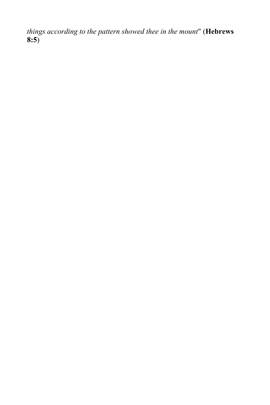*things according to the pattern showed thee in the mount*" (**Hebrews 8:5**)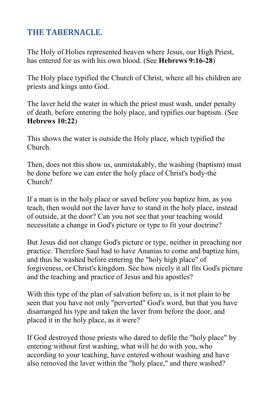#### **THE TABERNACLE.**

The Holy of Holies represented heaven where Jesus, our High Priest, has entered for us with his own blood. (See **Hebrews 9:16-28**)

The Holy place typified the Church of Christ, where all his children are priests and kings unto God.

The laver held the water in which the priest must wash, under penalty of death, before entering the holy place, and typifies our baptism. (See **Hebrews 10:22**)

This shows the water is outside the Holy place, which typified the Church.

Then, does not this show us, unmistakably, the washing (baptism) must be done before we can enter the holy place of Christ's body-the Church?

If a man is in the holy place or saved before you baptize him, as you teach, then would not the laver have to stand in the holy place, instead of outside, at the door? Can you not see that your teaching would necessitate a change in God's picture or type to fit your doctrine?

But Jesus did not change God's picture or type, neither in preaching nor practice. Therefore Saul had to have Ananias to come and baptize him, and thus he washed before entering the "holy high place" of forgiveness, or Christ's kingdom. See how nicely it all fits God's picture and the teaching and practice of Jesus and his apostles?

With this type of the plan of salvation before us, is it not plain to be seen that you have not only "perverted" God's word, but that you have disarranged his type and taken the laver from before the door, and placed it in the holy place, as it were?

If God destroyed those priests who dared to defile the "holy place" by entering without first washing, what will he do with you, who according to your teaching, have entered without washing and have also removed the laver within the "holy place," and there washed?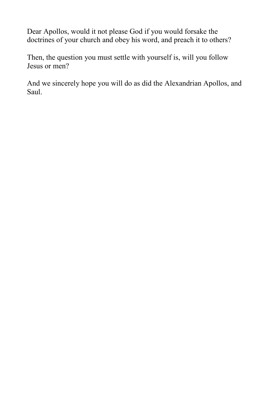Dear Apollos, would it not please God if you would forsake the doctrines of your church and obey his word, and preach it to others?

Then, the question you must settle with yourself is, will you follow Jesus or men?

And we sincerely hope you will do as did the Alexandrian Apollos, and Saul.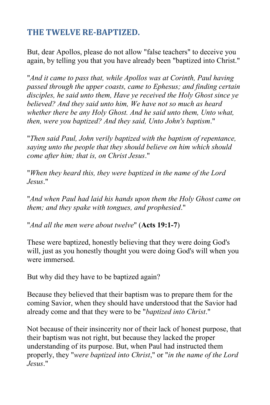#### **THE TWELVE RE-BAPTIZED.**

But, dear Apollos, please do not allow "false teachers" to deceive you again, by telling you that you have already been "baptized into Christ."

"*And it came to pass that, while Apollos was at Corinth, Paul having passed through the upper coasts, came to Ephesus; and finding certain disciples, he said unto them, Have ye received the Holy Ghost since ye believed? And they said unto him, We have not so much as heard whether there be any Holy Ghost. And he said unto them, Unto what, then, were you baptized? And they said, Unto John's baptism*."

"*Then said Paul, John verily baptized with the baptism of repentance, saying unto the people that they should believe on him which should come after him; that is, on Christ Jesus*."

"*When they heard this, they were baptized in the name of the Lord Jesus*."

"*And when Paul had laid his hands upon them the Holy Ghost came on them; and they spake with tongues, and prophesied*."

"*And all the men were about twelve*" (**Acts 19:1-7**)

These were baptized, honestly believing that they were doing God's will, just as you honestly thought you were doing God's will when you were immersed.

But why did they have to be baptized again?

Because they believed that their baptism was to prepare them for the coming Savior, when they should have understood that the Savior had already come and that they were to be "*baptized into Christ*."

Not because of their insincerity nor of their lack of honest purpose, that their baptism was not right, but because they lacked the proper understanding of its purpose. But, when Paul had instructed them properly, they "*were baptized into Christ*," or "*in the name of the Lord Jesus*."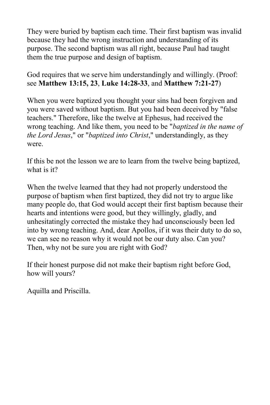They were buried by baptism each time. Their first baptism was invalid because they had the wrong instruction and understanding of its purpose. The second baptism was all right, because Paul had taught them the true purpose and design of baptism.

God requires that we serve him understandingly and willingly. (Proof: see **Matthew 13:15, 23**, **Luke 14:28-33**, and **Matthew 7:21-27**)

When you were baptized you thought your sins had been forgiven and you were saved without baptism. But you had been deceived by "false teachers." Therefore, like the twelve at Ephesus, had received the wrong teaching. And like them, you need to be "*baptized in the name of the Lord Jesus*," or "*baptized into Christ*," understandingly, as they were.

If this be not the lesson we are to learn from the twelve being baptized, what is it?

When the twelve learned that they had not properly understood the purpose of baptism when first baptized, they did not try to argue like many people do, that God would accept their first baptism because their hearts and intentions were good, but they willingly, gladly, and unhesitatingly corrected the mistake they had unconsciously been led into by wrong teaching. And, dear Apollos, if it was their duty to do so, we can see no reason why it would not be our duty also. Can you? Then, why not be sure you are right with God?

If their honest purpose did not make their baptism right before God, how will yours?

Aquilla and Priscilla.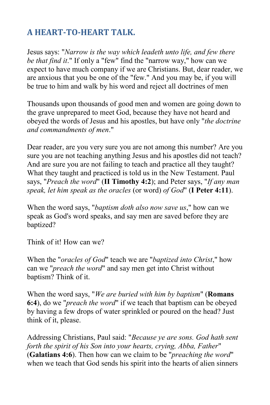## **A HEART-TO-HEART TALK.**

Jesus says: "*Narrow is the way which leadeth unto life, and few there be that find it*." If only a "few" find the "narrow way," how can we expect to have much company if we are Christians. But, dear reader, we are anxious that you be one of the "few." And you may be, if you will be true to him and walk by his word and reject all doctrines of men

Thousands upon thousands of good men and women are going down to the grave unprepared to meet God, because they have not heard and obeyed the words of Jesus and his apostles, but have only "*the doctrine and commandments of men*."

Dear reader, are you very sure you are not among this number? Are you sure you are not teaching anything Jesus and his apostles did not teach? And are sure you are not failing to teach and practice all they taught? What they taught and practiced is told us in the New Testament. Paul says, "*Preach the word*" (**II Timothy 4:2**); and Peter says, "*If any man speak, let him speak as the oracles* (or word) *of God*" (**I Peter 4:11**).

When the word says, "*baptism doth also now save us*," how can we speak as God's word speaks, and say men are saved before they are baptized?

Think of it! How can we?

When the "*oracles of God*" teach we are "*baptized into Christ*," how can we "*preach the word*" and say men get into Christ without baptism? Think of it.

When the word says, "*We are buried with him by baptism*" (**Romans 6:4**), do we "*preach the word*" if we teach that baptism can be obeyed by having a few drops of water sprinkled or poured on the head? Just think of it, please.

Addressing Christians, Paul said: "*Because ye are sons. God hath sent forth the spirit of his Son into your hearts, crying, Abba, Father*" (**Galatians 4:6**). Then how can we claim to be "*preaching the word*" when we teach that God sends his spirit into the hearts of alien sinners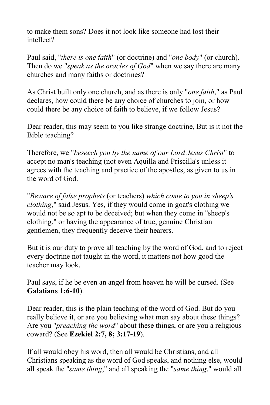to make them sons? Does it not look like someone had lost their intellect?

Paul said, "*there is one faith*" (or doctrine) and "*one body*" (or church). Then do we "*speak as the oracles of God*" when we say there are many churches and many faiths or doctrines?

As Christ built only one church, and as there is only "*one faith*," as Paul declares, how could there be any choice of churches to join, or how could there be any choice of faith to believe, if we follow Jesus?

Dear reader, this may seem to you like strange doctrine, But is it not the Bible teaching?

Therefore, we "*beseech you by the name of our Lord Jesus Christ*" to accept no man's teaching (not even Aquilla and Priscilla's unless it agrees with the teaching and practice of the apostles, as given to us in the word of God.

"*Beware of false prophets* (or teachers) *which come to you in sheep's clothing*," said Jesus. Yes, if they would come in goat's clothing we would not be so apt to be deceived; but when they come in "sheep's clothing," or having the appearance of true, genuine Christian gentlemen, they frequently deceive their hearers.

But it is our duty to prove all teaching by the word of God, and to reject every doctrine not taught in the word, it matters not how good the teacher may look.

Paul says, if he be even an angel from heaven he will be cursed. (See **Galatians 1:6-10**).

Dear reader, this is the plain teaching of the word of God. But do you really believe it, or are you believing what men say about these things? Are you "*preaching the word*" about these things, or are you a religious coward? (See **Ezekiel 2:7, 8; 3:17-19**).

If all would obey his word, then all would be Christians, and all Christians speaking as the word of God speaks, and nothing else, would all speak the "*same thing*," and all speaking the "*same thing*," would all